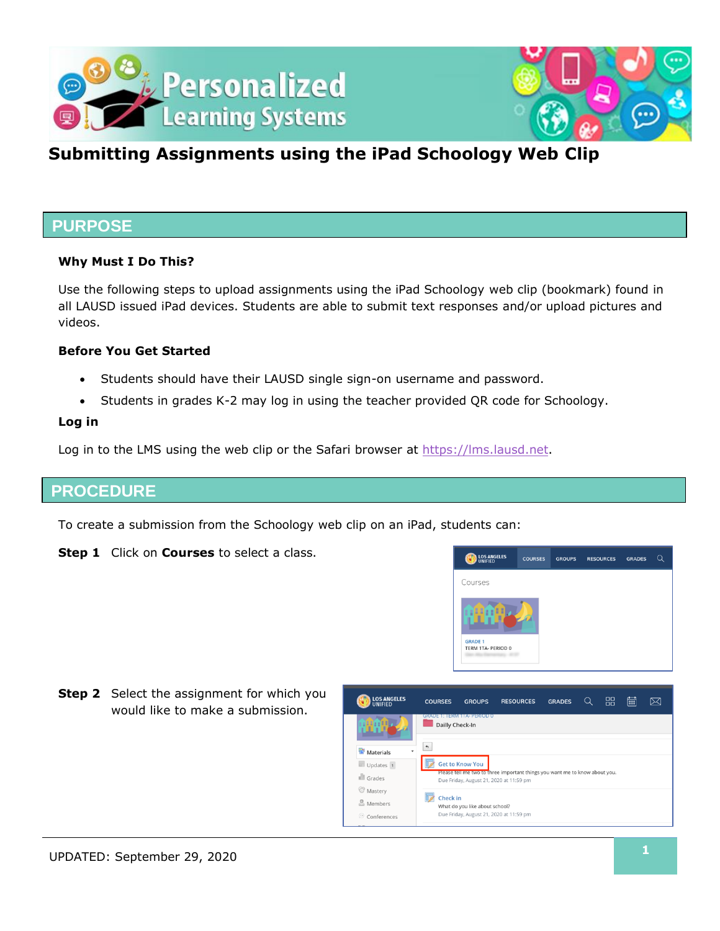



## **Submitting Assignments using the iPad Schoology Web Clip**

### **PURPOSE**

#### **Why Must I Do This?**

Use the following steps to upload assignments using the iPad Schoology web clip (bookmark) found in all LAUSD issued iPad devices. Students are able to submit text responses and/or upload pictures and videos.

#### **Before You Get Started**

- Students should have their LAUSD single sign-on username and password.
- Students in grades K-2 may log in using the teacher provided QR code for Schoology.

#### **Log in**

Log in to the LMS using the web clip or the Safari browser at [https://lms.lausd.net.](https://lms.lausd.net/)

### **PROCEDURE**

To create a submission from the Schoology web clip on an iPad, students can:

**Step 1** Click on **Courses** to select a class.



**Step 2** Select the assignment for which you would like to make a submission.

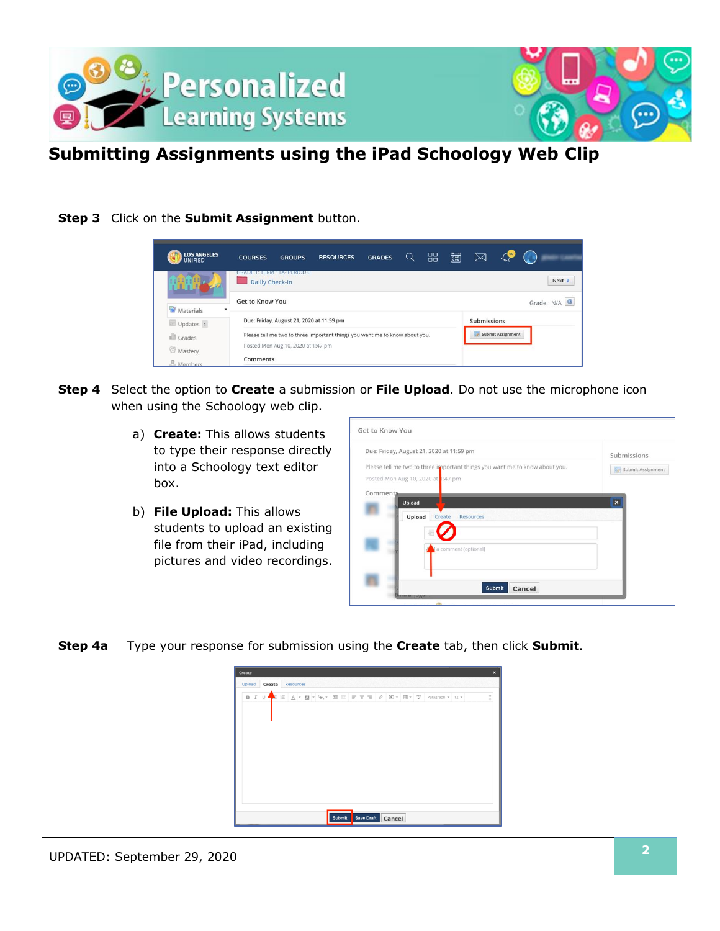



# **Submitting Assignments using the iPad Schoology Web Clip**

### **Step 3** Click on the **Submit Assignment** button.



- **Step 4** Select the option to **Create** a submission or **File Upload**. Do not use the microphone icon when using the Schoology web clip.
	- a) **Create:** This allows students to type their response directly into a Schoology text editor box.
	- b) **File Upload:** This allows students to upload an existing file from their iPad, including pictures and video recordings.

| Due: Friday, August 21, 2020 at 11:59 pm |                                                                             | Submissions             |  |
|------------------------------------------|-----------------------------------------------------------------------------|-------------------------|--|
| Posted Mon Aug 10, 2020 at 1:47 pm       | Please tell me two to three important things you want me to know about you. | Submit Assignment       |  |
| Comments<br>Upload<br>Create<br>Upload   | <b>Resources</b>                                                            | $\overline{\mathbf{x}}$ |  |
|                                          | a comment (optional)                                                        |                         |  |

**Step 4a** Type your response for submission using the **Create** tab, then click **Submit**.